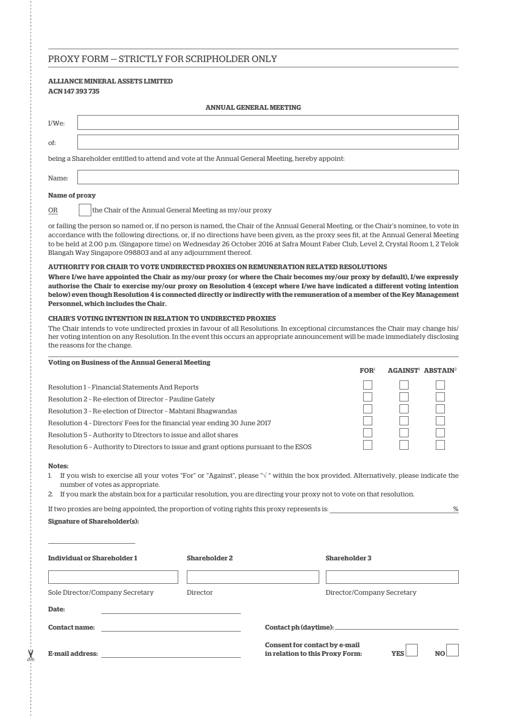## PROXY FORM — STRICTLY FOR SCRIPHOLDER ONLY

## **ALLIANCE MINERAL ASSETS LIMITED ACN 147 393 735**

| <b>ANNUAL GENERAL MEETING</b>                                                                  |  |  |  |  |  |  |
|------------------------------------------------------------------------------------------------|--|--|--|--|--|--|
| $I/We$ :                                                                                       |  |  |  |  |  |  |
| of:                                                                                            |  |  |  |  |  |  |
| being a Shareholder entitled to attend and vote at the Annual General Meeting, hereby appoint: |  |  |  |  |  |  |
| Name:                                                                                          |  |  |  |  |  |  |

### **Name of proxy**

OR the Chair of the Annual General Meeting as my/our proxy

or failing the person so named or, if no person is named, the Chair of the Annual General Meeting, or the Chair's nominee, to vote in accordance with the following directions, or, if no directions have been given, as the proxy sees fit, at the Annual General Meeting to be held at 2.00 p.m. (Singapore time) on Wednesday 26 October 2016 at Safra Mount Faber Club, Level 2, Crystal Room 1, 2 Telok Blangah Way Singapore 098803 and at any adjournment thereof.

#### **AUTHORITY FOR CHAIR TO VOTE UNDIRECTED PROXIES ON REMUNERATION RELATED RESOLUTIONS**

**Where I/we have appointed the Chair as my/our proxy (or where the Chair becomes my/our proxy by default), I/we expressly authorise the Chair to exercise my/our proxy on Resolution 4 (except where I/we have indicated a different voting intention below) even though Resolution 4 is connected directly or indirectly with the remuneration of a member of the Key Management Personnel, which includes the Chair.**

#### **CHAIR'S VOTING INTENTION IN RELATION TO UNDIRECTED PROXIES**

The Chair intends to vote undirected proxies in favour of all Resolutions. In exceptional circumstances the Chair may change his/ her voting intention on any Resolution. In the event this occurs an appropriate announcement will be made immediately disclosing the reasons for the change.

| <b>Voting on Business of the Annual General Meeting</b>                               |                             |                                                |  |  |  |
|---------------------------------------------------------------------------------------|-----------------------------|------------------------------------------------|--|--|--|
|                                                                                       | $\mathbf{FOR}$ <sup>1</sup> | <b>AGAINST<sup>1</sup> ABSTAIN<sup>2</sup></b> |  |  |  |
| Resolution 1 - Financial Statements And Reports                                       |                             |                                                |  |  |  |
| Resolution 2 - Re-election of Director - Pauline Gately                               |                             |                                                |  |  |  |
| Resolution 3 - Re-election of Director - Mahtani Bhagwandas                           |                             |                                                |  |  |  |
| Resolution 4 - Directors' Fees for the financial year ending 30 June 2017             |                             |                                                |  |  |  |
| Resolution 5 - Authority to Directors to issue and allot shares                       |                             |                                                |  |  |  |
| Resolution 6 - Authority to Directors to issue and grant options pursuant to the ESOS |                             |                                                |  |  |  |
|                                                                                       |                             |                                                |  |  |  |

#### **Notes:**

- 1. If you wish to exercise all your votes "For" or "Against", please "√ " within the box provided. Alternatively, please indicate the number of votes as appropriate.
- 2. If you mark the abstain box for a particular resolution, you are directing your proxy not to vote on that resolution.

| If two proxies are being appointed, the proportion of voting rights this proxy represents is: |  |
|-----------------------------------------------------------------------------------------------|--|
|-----------------------------------------------------------------------------------------------|--|

#### **Signature of Shareholder(s):**

| <b>Individual or Shareholder 1</b>       | <b>Shareholder 2</b> | <b>Shareholder 3</b>                                                    |            |    |  |
|------------------------------------------|----------------------|-------------------------------------------------------------------------|------------|----|--|
|                                          |                      |                                                                         |            |    |  |
| Sole Director/Company Secretary<br>Date: | Director             | Director/Company Secretary                                              |            |    |  |
| <b>Contact name:</b>                     |                      | Contact ph (daytime): __________                                        |            |    |  |
| <b>E-mail address:</b>                   |                      | <b>Consent for contact by e-mail</b><br>in relation to this Proxy Form: | <b>YES</b> | NC |  |